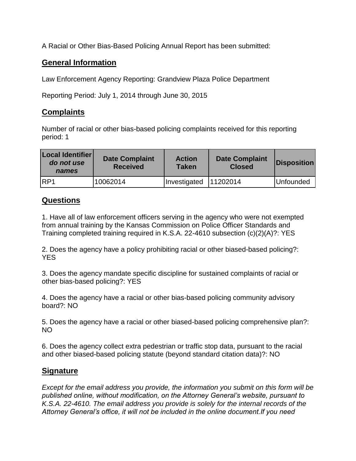A Racial or Other Bias-Based Policing Annual Report has been submitted:

## **General Information**

Law Enforcement Agency Reporting: Grandview Plaza Police Department

Reporting Period: July 1, 2014 through June 30, 2015

## **Complaints**

Number of racial or other bias-based policing complaints received for this reporting period: 1

| Local Identifier<br>do not use<br>names | <b>Date Complaint</b><br><b>Received</b> | <b>Action</b><br><b>Taken</b> | <b>Date Complaint</b><br><b>Closed</b> | Disposition |
|-----------------------------------------|------------------------------------------|-------------------------------|----------------------------------------|-------------|
| IRP1                                    | 10062014                                 | Investigated                  | 11202014                               | Unfounded   |

## **Questions**

1. Have all of law enforcement officers serving in the agency who were not exempted from annual training by the Kansas Commission on Police Officer Standards and Training completed training required in K.S.A. 22-4610 subsection (c)(2)(A)?: YES

2. Does the agency have a policy prohibiting racial or other biased-based policing?: YES

3. Does the agency mandate specific discipline for sustained complaints of racial or other bias-based policing?: YES

4. Does the agency have a racial or other bias-based policing community advisory board?: NO

5. Does the agency have a racial or other biased-based policing comprehensive plan?: NO

6. Does the agency collect extra pedestrian or traffic stop data, pursuant to the racial and other biased-based policing statute (beyond standard citation data)?: NO

## **Signature**

*Except for the email address you provide, the information you submit on this form will be published online, without modification, on the Attorney General's website, pursuant to K.S.A. 22-4610. The email address you provide is solely for the internal records of the Attorney General's office, it will not be included in the online document.If you need*